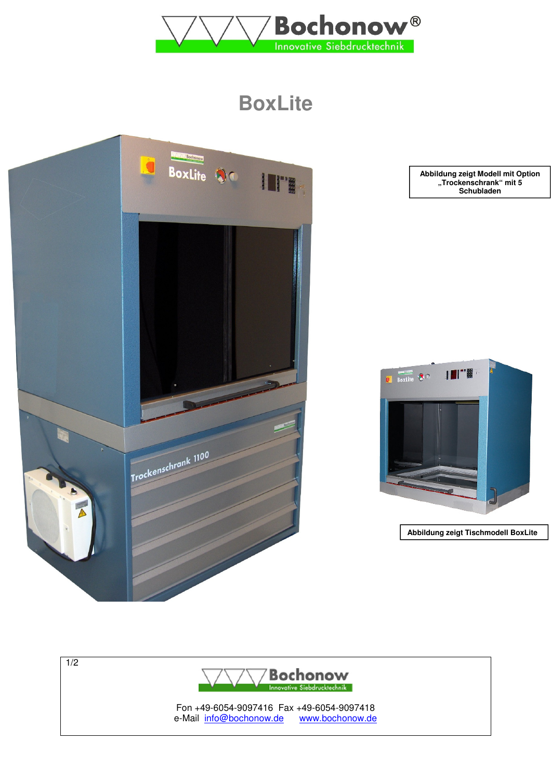

# **BoxLite**